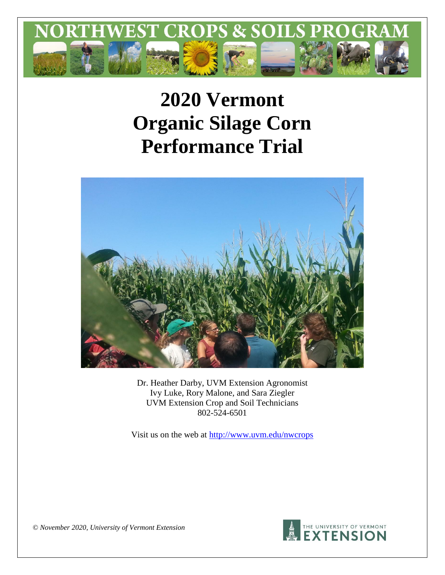

# **2020 Vermont Organic Silage Corn Performance Trial**



Dr. Heather Darby, UVM Extension Agronomist Ivy Luke, Rory Malone, and Sara Ziegler UVM Extension Crop and Soil Technicians 802-524-6501

Visit us on the web at<http://www.uvm.edu/nwcrops>



*© November 2020, University of Vermont Extension*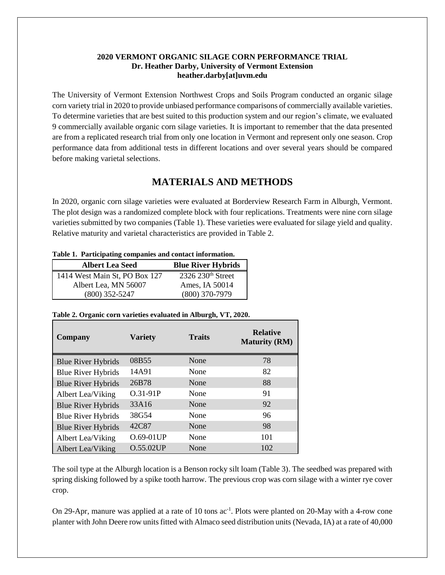#### **2020 VERMONT ORGANIC SILAGE CORN PERFORMANCE TRIAL Dr. Heather Darby, University of Vermont Extension heather.darby[at]uvm.edu**

The University of Vermont Extension Northwest Crops and Soils Program conducted an organic silage corn variety trial in 2020 to provide unbiased performance comparisons of commercially available varieties. To determine varieties that are best suited to this production system and our region's climate, we evaluated 9 commercially available organic corn silage varieties. It is important to remember that the data presented are from a replicated research trial from only one location in Vermont and represent only one season. Crop performance data from additional tests in different locations and over several years should be compared before making varietal selections.

## **MATERIALS AND METHODS**

In 2020, organic corn silage varieties were evaluated at Borderview Research Farm in Alburgh, Vermont. The plot design was a randomized complete block with four replications. Treatments were nine corn silage varieties submitted by two companies (Table 1). These varieties were evaluated for silage yield and quality. Relative maturity and varietal characteristics are provided in Table 2.

|  |  |  | Table 1. Participating companies and contact information. |
|--|--|--|-----------------------------------------------------------|
|--|--|--|-----------------------------------------------------------|

| <b>Albert Lea Seed</b>        | <b>Blue River Hybrids</b>     |
|-------------------------------|-------------------------------|
| 1414 West Main St, PO Box 127 | 2326 230 <sup>th</sup> Street |
| Albert Lea, MN 56007          | Ames, IA 50014                |
| $(800)$ 352-5247              | $(800)$ 370-7979              |

| Table 2. Organic corn varieties evaluated in Alburgh, VT, 2020. |  |  |
|-----------------------------------------------------------------|--|--|

| Company                   | <b>Variety</b> | <b>Traits</b> | <b>Relative</b><br><b>Maturity (RM)</b> |
|---------------------------|----------------|---------------|-----------------------------------------|
| <b>Blue River Hybrids</b> | 08B55          | None          | 78                                      |
| <b>Blue River Hybrids</b> | 14A91          | None          | 82                                      |
| <b>Blue River Hybrids</b> | 26B78          | None          | 88                                      |
| Albert Lea/Viking         | O.31-91P       | None          | 91                                      |
| <b>Blue River Hybrids</b> | 33A16          | None          | 92                                      |
| <b>Blue River Hybrids</b> | 38G54          | None          | 96                                      |
| <b>Blue River Hybrids</b> | 42C87          | None          | 98                                      |
| Albert Lea/Viking         | O.69-01UP      | None          | 101                                     |
| Albert Lea/Viking         | $O.55.02$ UP   | None          | 102                                     |

The soil type at the Alburgh location is a Benson rocky silt loam (Table 3). The seedbed was prepared with spring disking followed by a spike tooth harrow. The previous crop was corn silage with a winter rye cover crop.

On 29-Apr, manure was applied at a rate of 10 tons ac<sup>-1</sup>. Plots were planted on 20-May with a 4-row cone planter with John Deere row units fitted with Almaco seed distribution units (Nevada, IA) at a rate of 40,000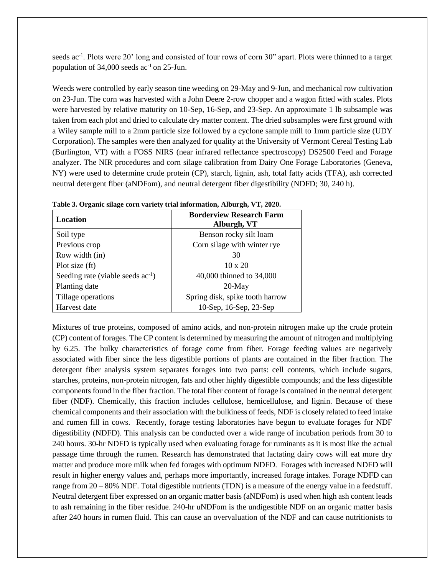seeds ac<sup>-1</sup>. Plots were 20' long and consisted of four rows of corn 30" apart. Plots were thinned to a target population of  $34,000$  seeds ac<sup>-1</sup> on 25-Jun.

Weeds were controlled by early season tine weeding on 29-May and 9-Jun, and mechanical row cultivation on 23-Jun. The corn was harvested with a John Deere 2-row chopper and a wagon fitted with scales. Plots were harvested by relative maturity on 10-Sep, 16-Sep, and 23-Sep. An approximate 1 lb subsample was taken from each plot and dried to calculate dry matter content. The dried subsamples were first ground with a Wiley sample mill to a 2mm particle size followed by a cyclone sample mill to 1mm particle size (UDY Corporation). The samples were then analyzed for quality at the University of Vermont Cereal Testing Lab (Burlington, VT) with a FOSS NIRS (near infrared reflectance spectroscopy) DS2500 Feed and Forage analyzer. The NIR procedures and corn silage calibration from Dairy One Forage Laboratories (Geneva, NY) were used to determine crude protein (CP), starch, lignin, ash, total fatty acids (TFA), ash corrected neutral detergent fiber (aNDFom), and neutral detergent fiber digestibility (NDFD; 30, 240 h).

| Location                               | <b>Borderview Research Farm</b><br>Alburgh, VT |
|----------------------------------------|------------------------------------------------|
| Soil type                              | Benson rocky silt loam                         |
| Previous crop                          | Corn silage with winter rye                    |
| Row width (in)                         | 30                                             |
| Plot size (ft)                         | $10 \times 20$                                 |
| Seeding rate (viable seeds $ac^{-1}$ ) | 40,000 thinned to 34,000                       |
| Planting date                          | $20$ -May                                      |
| Tillage operations                     | Spring disk, spike tooth harrow                |
| Harvest date                           | 10-Sep, 16-Sep, 23-Sep                         |

|  |  | Table 3. Organic silage corn variety trial information, Alburgh, VT, 2020. |
|--|--|----------------------------------------------------------------------------|
|  |  |                                                                            |

Mixtures of true proteins, composed of amino acids, and non-protein nitrogen make up the crude protein (CP) content of forages. The CP content is determined by measuring the amount of nitrogen and multiplying by 6.25. The bulky characteristics of forage come from fiber. Forage feeding values are negatively associated with fiber since the less digestible portions of plants are contained in the fiber fraction. The detergent fiber analysis system separates forages into two parts: cell contents, which include sugars, starches, proteins, non-protein nitrogen, fats and other highly digestible compounds; and the less digestible components found in the fiber fraction. The total fiber content of forage is contained in the neutral detergent fiber (NDF). Chemically, this fraction includes cellulose, hemicellulose, and lignin. Because of these chemical components and their association with the bulkiness of feeds, NDF is closely related to feed intake and rumen fill in cows. Recently, forage testing laboratories have begun to evaluate forages for NDF digestibility (NDFD). This analysis can be conducted over a wide range of incubation periods from 30 to 240 hours. 30-hr NDFD is typically used when evaluating forage for ruminants as it is most like the actual passage time through the rumen. Research has demonstrated that lactating dairy cows will eat more dry matter and produce more milk when fed forages with optimum NDFD. Forages with increased NDFD will result in higher energy values and, perhaps more importantly, increased forage intakes. Forage NDFD can range from 20 – 80% NDF. Total digestible nutrients (TDN) is a measure of the energy value in a feedstuff. Neutral detergent fiber expressed on an organic matter basis (aNDFom) is used when high ash content leads to ash remaining in the fiber residue. 240-hr uNDFom is the undigestible NDF on an organic matter basis after 240 hours in rumen fluid. This can cause an overvaluation of the NDF and can cause nutritionists to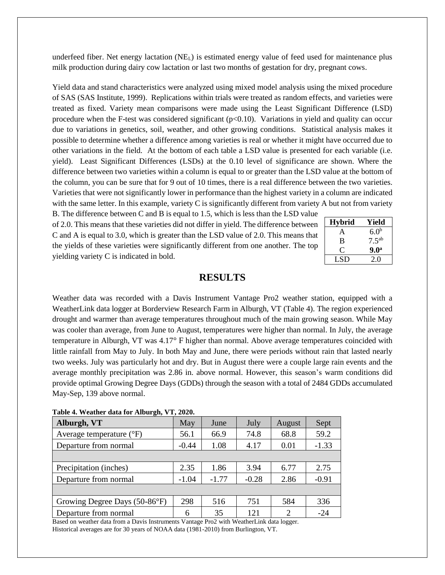underfeed fiber. Net energy lactation  $(NE<sub>L</sub>)$  is estimated energy value of feed used for maintenance plus milk production during dairy cow lactation or last two months of gestation for dry, pregnant cows.

Yield data and stand characteristics were analyzed using mixed model analysis using the mixed procedure of SAS (SAS Institute, 1999). Replications within trials were treated as random effects, and varieties were treated as fixed. Variety mean comparisons were made using the Least Significant Difference (LSD) procedure when the F-test was considered significant  $(p<0.10)$ . Variations in yield and quality can occur due to variations in genetics, soil, weather, and other growing conditions. Statistical analysis makes it possible to determine whether a difference among varieties is real or whether it might have occurred due to other variations in the field. At the bottom of each table a LSD value is presented for each variable (i.e. yield). Least Significant Differences (LSDs) at the 0.10 level of significance are shown. Where the difference between two varieties within a column is equal to or greater than the LSD value at the bottom of the column, you can be sure that for 9 out of 10 times, there is a real difference between the two varieties. Varieties that were not significantly lower in performance than the highest variety in a column are indicated with the same letter. In this example, variety C is significantly different from variety A but not from variety

B. The difference between C and B is equal to 1.5, which is less than the LSD value of 2.0. This means that these varieties did not differ in yield. The difference between C and A is equal to 3.0, which is greater than the LSD value of 2.0. This means that the yields of these varieties were significantly different from one another. The top yielding variety C is indicated in bold.

| <b>Hybrid</b> | Yield             |
|---------------|-------------------|
| A             | 6.0 <sup>b</sup>  |
| в             | 7.5 <sup>ab</sup> |
| 0             | 9.0 <sup>a</sup>  |
| LSD           | 2.0               |

## **RESULTS**

Weather data was recorded with a Davis Instrument Vantage Pro2 weather station, equipped with a WeatherLink data logger at Borderview Research Farm in Alburgh, VT (Table 4). The region experienced drought and warmer than average temperatures throughout much of the main growing season. While May was cooler than average, from June to August, temperatures were higher than normal. In July, the average temperature in Alburgh, VT was 4.17° F higher than normal. Above average temperatures coincided with little rainfall from May to July. In both May and June, there were periods without rain that lasted nearly two weeks. July was particularly hot and dry. But in August there were a couple large rain events and the average monthly precipitation was 2.86 in. above normal. However, this season's warm conditions did provide optimal Growing Degree Days (GDDs) through the season with a total of 2484 GDDs accumulated May-Sep, 139 above normal.

| $1.4010 + 1.7000101 + 0.000111001 + 0.00011 + 0.00001$ |         |         |         |        |         |  |  |  |  |  |
|--------------------------------------------------------|---------|---------|---------|--------|---------|--|--|--|--|--|
| Alburgh, VT                                            | May     | June    | July    | August | Sept    |  |  |  |  |  |
| Average temperature $(^{\circ}F)$                      | 56.1    | 66.9    | 74.8    | 68.8   | 59.2    |  |  |  |  |  |
| Departure from normal                                  | $-0.44$ | 1.08    | 4.17    | 0.01   | $-1.33$ |  |  |  |  |  |
|                                                        |         |         |         |        |         |  |  |  |  |  |
| Precipitation (inches)                                 | 2.35    | 1.86    | 3.94    | 6.77   | 2.75    |  |  |  |  |  |
| Departure from normal                                  | $-1.04$ | $-1.77$ | $-0.28$ | 2.86   | $-0.91$ |  |  |  |  |  |
|                                                        |         |         |         |        |         |  |  |  |  |  |
| Growing Degree Days (50-86°F)                          | 298     | 516     | 751     | 584    | 336     |  |  |  |  |  |
| Departure from normal                                  | 6       | 35      | 121     | ∍      | $-24$   |  |  |  |  |  |

|  |  |  |  | Table 4. Weather data for Alburgh, VT, 2020. |  |  |
|--|--|--|--|----------------------------------------------|--|--|
|--|--|--|--|----------------------------------------------|--|--|

Based on weather data from a Davis Instruments Vantage Pro2 with WeatherLink data logger. Historical averages are for 30 years of NOAA data (1981-2010) from Burlington, VT.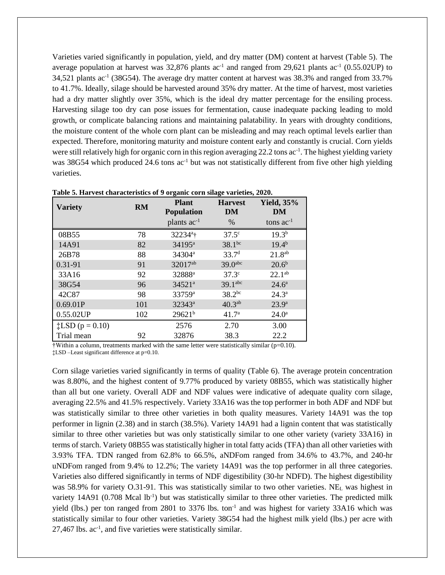Varieties varied significantly in population, yield, and dry matter (DM) content at harvest (Table 5). The average population at harvest was  $32,876$  plants ac<sup>-1</sup> and ranged from  $29,621$  plants ac<sup>-1</sup> (0.55.02UP) to 34,521 plants ac<sup>-1</sup> (38G54). The average dry matter content at harvest was 38.3% and ranged from 33.7% to 41.7%. Ideally, silage should be harvested around 35% dry matter. At the time of harvest, most varieties had a dry matter slightly over 35%, which is the ideal dry matter percentage for the ensiling process. Harvesting silage too dry can pose issues for fermentation, cause inadequate packing leading to mold growth, or complicate balancing rations and maintaining palatability. In years with droughty conditions, the moisture content of the whole corn plant can be misleading and may reach optimal levels earlier than expected. Therefore, monitoring maturity and moisture content early and constantly is crucial. Corn yields were still relatively high for organic corn in this region averaging 22.2 tons ac<sup>-1</sup>. The highest yielding variety was 38G54 which produced 24.6 tons ac<sup>-1</sup> but was not statistically different from five other high yielding varieties.

| Table 5. Harvest characteristics of 9 organic corn silage varieties, 2020. |           |                                   |                      |                         |  |  |  |  |  |  |
|----------------------------------------------------------------------------|-----------|-----------------------------------|----------------------|-------------------------|--|--|--|--|--|--|
| <b>Variety</b>                                                             | <b>RM</b> | <b>Plant</b><br><b>Population</b> | <b>Harvest</b><br>DM | <b>Yield, 35%</b><br>DM |  |  |  |  |  |  |
|                                                                            |           | plants $ac^{-1}$                  | $\%$                 | tons $ac^{-1}$          |  |  |  |  |  |  |
| 08B55                                                                      | 78        | 32234 <sup>a</sup> t              | $37.5^{\circ}$       | $19.3^{b}$              |  |  |  |  |  |  |
| 14A91                                                                      | 82        | 34195 <sup>a</sup>                | $38.1^{bc}$          | $19.4^{b}$              |  |  |  |  |  |  |
| 26B78                                                                      | 88        | 34304 <sup>a</sup>                | 33.7 <sup>d</sup>    | 21.8 <sup>ab</sup>      |  |  |  |  |  |  |
| 0.31-91                                                                    | 91        | 32017ab                           | 39.0abc              | 20.6 <sup>b</sup>       |  |  |  |  |  |  |
| 33A16                                                                      | 92        | 32888ª                            | $37.3^{\circ}$       | $22.1^{ab}$             |  |  |  |  |  |  |
| 38G54                                                                      | 96        | 34521 <sup>a</sup>                | 39.1 <sup>abc</sup>  | $24.6^{\rm a}$          |  |  |  |  |  |  |
| 42C87                                                                      | 98        | 33759 <sup>a</sup>                | $38.2^{bc}$          | $24.3^{\circ}$          |  |  |  |  |  |  |
| 0.69.01P                                                                   | 101       | $32343^a$                         | $40.3^{ab}$          | 23.9 <sup>a</sup>       |  |  |  |  |  |  |
| 0.55.02UP                                                                  | 102       | $29621^{b}$                       | 41.7 <sup>a</sup>    | $24.0^{\circ}$          |  |  |  |  |  |  |
| $\ddagger$ LSD (p = 0.10)                                                  |           | 2576                              | 2.70                 | 3.00                    |  |  |  |  |  |  |
| Trial mean                                                                 | 92        | 32876                             | 38.3                 | 22.2                    |  |  |  |  |  |  |

**Table 5. Harvest characteristics of 9 organic corn silage varieties, 2020.**

†Within a column, treatments marked with the same letter were statistically similar (p=0.10).

‡LSD –Least significant difference at p=0.10.

Corn silage varieties varied significantly in terms of quality (Table 6). The average protein concentration was 8.80%, and the highest content of 9.77% produced by variety 08B55, which was statistically higher than all but one variety. Overall ADF and NDF values were indicative of adequate quality corn silage, averaging 22.5% and 41.5% respectively. Variety 33A16 was the top performer in both ADF and NDF but was statistically similar to three other varieties in both quality measures. Variety 14A91 was the top performer in lignin (2.38) and in starch (38.5%). Variety 14A91 had a lignin content that was statistically similar to three other varieties but was only statistically similar to one other variety (variety 33A16) in terms of starch. Variety 08B55 was statistically higher in total fatty acids (TFA) than all other varieties with 3.93% TFA. TDN ranged from 62.8% to 66.5%, aNDFom ranged from 34.6% to 43.7%, and 240-hr uNDFom ranged from 9.4% to 12.2%; The variety 14A91 was the top performer in all three categories. Varieties also differed significantly in terms of NDF digestibility (30-hr NDFD). The highest digestibility was 58.9% for variety O.31-91. This was statistically similar to two other varieties. NE<sup>L</sup> was highest in variety 14A91 (0.708 Mcal lb<sup>-1</sup>) but was statistically similar to three other varieties. The predicted milk yield (lbs.) per ton ranged from 2801 to 3376 lbs. ton<sup>-1</sup> and was highest for variety 33A16 which was statistically similar to four other varieties. Variety 38G54 had the highest milk yield (lbs.) per acre with  $27,467$  lbs. ac<sup>-1</sup>, and five varieties were statistically similar.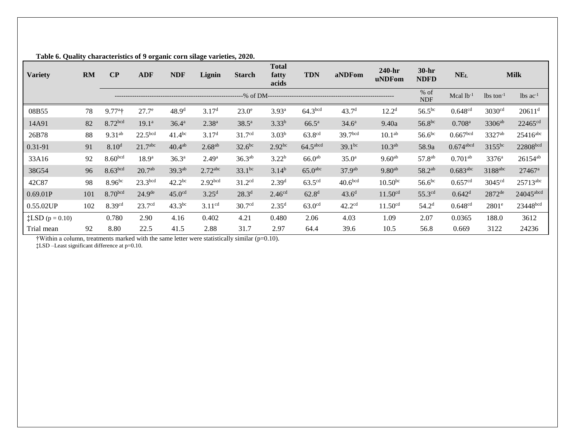| <b>Variety</b>           | <b>RM</b> | $\bf CP$            | <b>ADF</b>          | <b>NDF</b>         | Lignin                | <b>Starch</b>      | <b>Total</b><br>fatty<br>acids | <b>TDN</b>          | aNDFom              | $240-hr$<br>uNDFom  | $30-hr$<br><b>NDFD</b> | <b>NEL</b>              |                         | <b>Milk</b>            |
|--------------------------|-----------|---------------------|---------------------|--------------------|-----------------------|--------------------|--------------------------------|---------------------|---------------------|---------------------|------------------------|-------------------------|-------------------------|------------------------|
|                          |           |                     |                     |                    |                       |                    |                                |                     |                     |                     | % of<br><b>NDF</b>     | Mcal $lb^{-1}$          | $lbs$ ton <sup>-1</sup> | $lbs$ ac <sup>-1</sup> |
| 08B55                    | 78        | $9.77^{\circ}$ †    | 27.7 <sup>e</sup>   | 48.9 <sup>d</sup>  | 3.17 <sup>d</sup>     | 23.0 <sup>e</sup>  | 3.93 <sup>a</sup>              | 64.3 <sup>bcd</sup> | 43.7 <sup>d</sup>   | 12.2 <sup>d</sup>   | $56.5^{bc}$            | 0.648 <sup>cd</sup>     | 3030 <sup>cd</sup>      | $20611$ <sup>d</sup>   |
| 14A91                    | 82        | 8.72bcd             | 19.1 <sup>a</sup>   | 36.4 <sup>a</sup>  | $2.38^{a}$            | $38.5^{\rm a}$     | $3.33^{b}$                     | $66.5^{\rm a}$      | $34.6^{\circ}$      | 9.40a               | $56.8^{bc}$            | $0.708^{a}$             | 3306ab                  | 22465 <sup>cd</sup>    |
| 26B78                    | 88        | $9.31^{ab}$         | 22.5 <sup>bcd</sup> | 41.4 <sup>bc</sup> | 3.17 <sup>d</sup>     | 31.7 <sup>cd</sup> | $3.03^{b}$                     | 63.8 <sup>cd</sup>  | 39.7bcd             | 10.1 <sup>ab</sup>  | 56.6 <sup>bc</sup>     | 0.667 <sub>bcd</sub>    | 3327ab                  | 25416abc               |
| 0.31-91                  | 91        | 8.10 <sup>d</sup>   | 21.7 <sup>abc</sup> | $40.4^{ab}$        | 2.68 <sup>ab</sup>    | $32.6^{bc}$        | 2.92 <sup>bc</sup>             | $64.5$ abcd         | $39.1^{bc}$         | 10.3 <sup>ab</sup>  | 58.9a                  | $0.674$ <sub>abcd</sub> | 3155bc                  | 22808bcd               |
| 33A16                    | 92        | 8.60 <sub>bcd</sub> | 18.9 <sup>a</sup>   | $36.3^{a}$         | 2.49 <sup>a</sup>     | 36.3 <sup>ab</sup> | 3.22 <sup>b</sup>              | 66.0 <sup>ab</sup>  | $35.0^{\rm a}$      | $9.60^{ab}$         | 57.8 <sup>ab</sup>     | $0.701^{ab}$            | $3376^{\rm a}$          | $26154^{ab}$           |
| 38G54                    | 96        | 8.63 <sup>bcd</sup> | 20.7 <sup>ab</sup>  | 39.3 <sup>ab</sup> | $2.72$ <sup>abc</sup> | $33.1^{bc}$        | $3.14^{b}$                     | 65.0 <sup>abc</sup> | 37.9 <sup>ab</sup>  | $9.80^{ab}$         | 58.2 <sup>ab</sup>     | $0.683$ abc             | 3188abc                 | $27467$ <sup>a</sup>   |
| 42C87                    | 98        | $8.96^{bc}$         | 23.3 <sup>bcd</sup> | $42.2^{bc}$        | 2.92 <sub>bcd</sub>   | 31.2 <sup>cd</sup> | 2.39 <sup>d</sup>              | 63.5 <sup>cd</sup>  | 40.6 <sup>bcd</sup> | $10.50^{bc}$        | 56.6 <sup>bc</sup>     | 0.657 <sup>cd</sup>     | 3045 <sup>cd</sup>      | $25713$ <sup>abc</sup> |
| 0.69.01P                 | 101       | 8.70 <sup>bcd</sup> | 24.9 <sup>de</sup>  | 45.0 <sup>cd</sup> | 3.25 <sup>d</sup>     | 28.3 <sup>d</sup>  | 2.46 <sup>cd</sup>             | 62.8 <sup>d</sup>   | 43.6 <sup>d</sup>   | 11.50 <sup>cd</sup> | 55.3 <sup>cd</sup>     | 0.642 <sup>d</sup>      | 2872de                  | 24045abcd              |
| 0.55.02UP                | 102       | 8.39 <sup>cd</sup>  | 23.7 <sup>cd</sup>  | $43.3^{bc}$        | 3.11 <sup>cd</sup>    | 30.7 <sup>cd</sup> | 2.35 <sup>d</sup>              | 63.0 <sup>cd</sup>  | 42.2 <sup>cd</sup>  | 11.50 <sup>cd</sup> | 54.2 <sup>d</sup>      | 0.648 <sup>cd</sup>     | $2801^e$                | 23448bcd               |
| <b>‡LSD</b> $(p = 0.10)$ |           | 0.780               | 2.90                | 4.16               | 0.402                 | 4.21               | 0.480                          | 2.06                | 4.03                | 1.09                | 2.07                   | 0.0365                  | 188.0                   | 3612                   |
| Trial mean               | 92        | 8.80                | 22.5                | 41.5               | 2.88                  | 31.7               | 2.97                           | 64.4                | 39.6                | 10.5                | 56.8                   | 0.669                   | 3122                    | 24236                  |

**Table 6. Quality characteristics of 9 organic corn silage varieties, 2020.**

†Within a column, treatments marked with the same letter were statistically similar (p=0.10).

‡LSD –Least significant difference at p=0.10.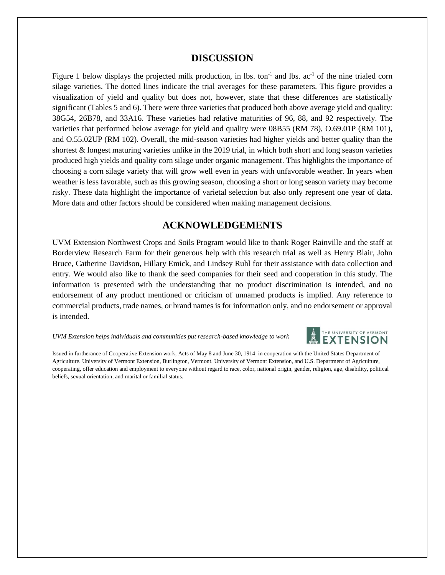### **DISCUSSION**

Figure 1 below displays the projected milk production, in lbs. ton<sup>-1</sup> and lbs.  $ac^{-1}$  of the nine trialed corn silage varieties. The dotted lines indicate the trial averages for these parameters. This figure provides a visualization of yield and quality but does not, however, state that these differences are statistically significant (Tables 5 and 6). There were three varieties that produced both above average yield and quality: 38G54, 26B78, and 33A16. These varieties had relative maturities of 96, 88, and 92 respectively. The varieties that performed below average for yield and quality were 08B55 (RM 78), O.69.01P (RM 101), and O.55.02UP (RM 102). Overall, the mid-season varieties had higher yields and better quality than the shortest & longest maturing varieties unlike in the 2019 trial, in which both short and long season varieties produced high yields and quality corn silage under organic management. This highlights the importance of choosing a corn silage variety that will grow well even in years with unfavorable weather. In years when weather is less favorable, such as this growing season, choosing a short or long season variety may become risky. These data highlight the importance of varietal selection but also only represent one year of data. More data and other factors should be considered when making management decisions.

## **ACKNOWLEDGEMENTS**

UVM Extension Northwest Crops and Soils Program would like to thank Roger Rainville and the staff at Borderview Research Farm for their generous help with this research trial as well as Henry Blair, John Bruce, Catherine Davidson, Hillary Emick, and Lindsey Ruhl for their assistance with data collection and entry. We would also like to thank the seed companies for their seed and cooperation in this study. The information is presented with the understanding that no product discrimination is intended, and no endorsement of any product mentioned or criticism of unnamed products is implied. Any reference to commercial products, trade names, or brand names is for information only, and no endorsement or approval is intended.

*UVM Extension helps individuals and communities put research-based knowledge to work*



Issued in furtherance of Cooperative Extension work, Acts of May 8 and June 30, 1914, in cooperation with the United States Department of Agriculture. University of Vermont Extension, Burlington, Vermont. University of Vermont Extension, and U.S. Department of Agriculture, cooperating, offer education and employment to everyone without regard to race, color, national origin, gender, religion, age, disability, political beliefs, sexual orientation, and marital or familial status.